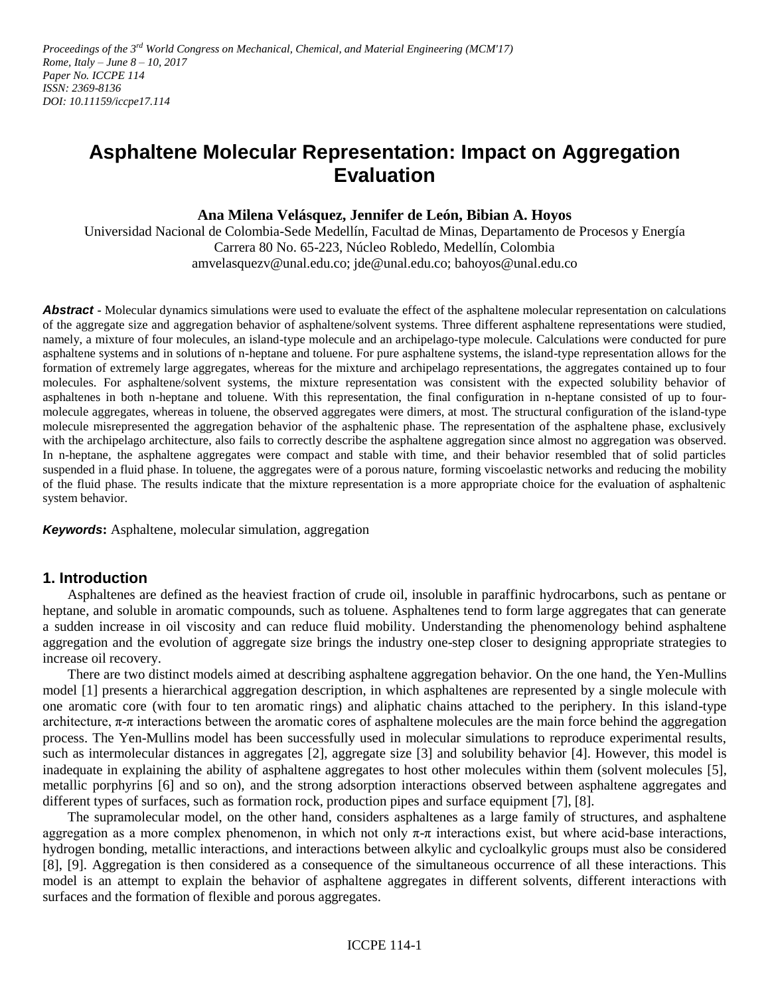Proceedings of the 3<sup>rd</sup> World Congress on Mechanical, Chemical, and Material Engineering (MCM'17) *Rome, Italy – June 8 – 10, 2017 Paper No. ICCPE 114 ISSN: 2369-8136 DOI: 10.11159/iccpe17.114*

# **Asphaltene Molecular Representation: Impact on Aggregation Evaluation**

**Ana Milena Velásquez, Jennifer de León, Bibian A. Hoyos**

Universidad Nacional de Colombia-Sede Medellín, Facultad de Minas, Departamento de Procesos y Energía Carrera 80 No. 65-223, Núcleo Robledo, Medellín, Colombia amvelasquezv@unal.edu.co; jde@unal.edu.co; bahoyos@unal.edu.co

**Abstract -** Molecular dynamics simulations were used to evaluate the effect of the asphaltene molecular representation on calculations of the aggregate size and aggregation behavior of asphaltene/solvent systems. Three different asphaltene representations were studied, namely, a mixture of four molecules, an island-type molecule and an archipelago-type molecule. Calculations were conducted for pure asphaltene systems and in solutions of n-heptane and toluene. For pure asphaltene systems, the island-type representation allows for the formation of extremely large aggregates, whereas for the mixture and archipelago representations, the aggregates contained up to four molecules. For asphaltene/solvent systems, the mixture representation was consistent with the expected solubility behavior of asphaltenes in both n-heptane and toluene. With this representation, the final configuration in n-heptane consisted of up to fourmolecule aggregates, whereas in toluene, the observed aggregates were dimers, at most. The structural configuration of the island-type molecule misrepresented the aggregation behavior of the asphaltenic phase. The representation of the asphaltene phase, exclusively with the archipelago architecture, also fails to correctly describe the asphaltene aggregation since almost no aggregation was observed. In n-heptane, the asphaltene aggregates were compact and stable with time, and their behavior resembled that of solid particles suspended in a fluid phase. In toluene, the aggregates were of a porous nature, forming viscoelastic networks and reducing the mobility of the fluid phase. The results indicate that the mixture representation is a more appropriate choice for the evaluation of asphaltenic system behavior.

*Keywords***:** Asphaltene, molecular simulation, aggregation

### **1. Introduction**

Asphaltenes are defined as the heaviest fraction of crude oil, insoluble in paraffinic hydrocarbons, such as pentane or heptane, and soluble in aromatic compounds, such as toluene. Asphaltenes tend to form large aggregates that can generate a sudden increase in oil viscosity and can reduce fluid mobility. Understanding the phenomenology behind asphaltene aggregation and the evolution of aggregate size brings the industry one-step closer to designing appropriate strategies to increase oil recovery.

There are two distinct models aimed at describing asphaltene aggregation behavior. On the one hand, the Yen-Mullins model [1] presents a hierarchical aggregation description, in which asphaltenes are represented by a single molecule with one aromatic core (with four to ten aromatic rings) and aliphatic chains attached to the periphery. In this island-type architecture,  $\pi$ -π interactions between the aromatic cores of asphaltene molecules are the main force behind the aggregation process. The Yen-Mullins model has been successfully used in molecular simulations to reproduce experimental results, such as intermolecular distances in aggregates [2], aggregate size [3] and solubility behavior [4]. However, this model is inadequate in explaining the ability of asphaltene aggregates to host other molecules within them (solvent molecules [5], metallic porphyrins [6] and so on), and the strong adsorption interactions observed between asphaltene aggregates and different types of surfaces, such as formation rock, production pipes and surface equipment [7], [8].

The supramolecular model, on the other hand, considers asphaltenes as a large family of structures, and asphaltene aggregation as a more complex phenomenon, in which not only  $\pi$ - $\pi$  interactions exist, but where acid-base interactions, hydrogen bonding, metallic interactions, and interactions between alkylic and cycloalkylic groups must also be considered [8], [9]. Aggregation is then considered as a consequence of the simultaneous occurrence of all these interactions. This model is an attempt to explain the behavior of asphaltene aggregates in different solvents, different interactions with surfaces and the formation of flexible and porous aggregates.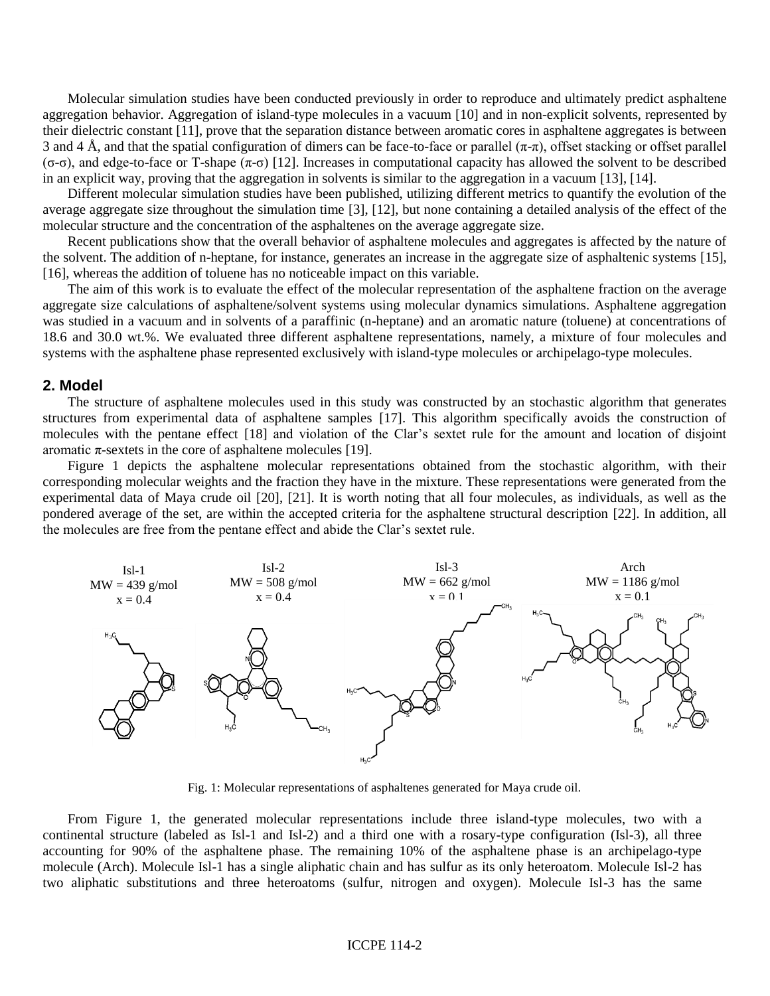Molecular simulation studies have been conducted previously in order to reproduce and ultimately predict asphaltene aggregation behavior. Aggregation of island-type molecules in a vacuum [10] and in non-explicit solvents, represented by their dielectric constant [11], prove that the separation distance between aromatic cores in asphaltene aggregates is between 3 and 4 Å, and that the spatial configuration of dimers can be face-to-face or parallel  $(\pi-\pi)$ , offset stacking or offset parallel (σ-σ), and edge-to-face or T-shape (π-σ) [12]. Increases in computational capacity has allowed the solvent to be described in an explicit way, proving that the aggregation in solvents is similar to the aggregation in a vacuum [13], [14].

Different molecular simulation studies have been published, utilizing different metrics to quantify the evolution of the average aggregate size throughout the simulation time [3], [12], but none containing a detailed analysis of the effect of the molecular structure and the concentration of the asphaltenes on the average aggregate size.

Recent publications show that the overall behavior of asphaltene molecules and aggregates is affected by the nature of the solvent. The addition of n-heptane, for instance, generates an increase in the aggregate size of asphaltenic systems [15], [16], whereas the addition of toluene has no noticeable impact on this variable.

The aim of this work is to evaluate the effect of the molecular representation of the asphaltene fraction on the average aggregate size calculations of asphaltene/solvent systems using molecular dynamics simulations. Asphaltene aggregation was studied in a vacuum and in solvents of a paraffinic (n-heptane) and an aromatic nature (toluene) at concentrations of 18.6 and 30.0 wt.%. We evaluated three different asphaltene representations, namely, a mixture of four molecules and systems with the asphaltene phase represented exclusively with island-type molecules or archipelago-type molecules.

#### **2. Model**

The structure of asphaltene molecules used in this study was constructed by an stochastic algorithm that generates structures from experimental data of asphaltene samples [17]. This algorithm specifically avoids the construction of molecules with the pentane effect [18] and violation of the Clar's sextet rule for the amount and location of disjoint aromatic  $\pi$ -sextets in the core of asphaltene molecules [19].

Figure 1 depicts the asphaltene molecular representations obtained from the stochastic algorithm, with their corresponding molecular weights and the fraction they have in the mixture. These representations were generated from the experimental data of Maya crude oil [20], [21]. It is worth noting that all four molecules, as individuals, as well as the pondered average of the set, are within the accepted criteria for the asphaltene structural description [22]. In addition, all the molecules are free from the pentane effect and abide the Clar's sextet rule.



Fig. 1: Molecular representations of asphaltenes generated for Maya crude oil.

From Figure 1, the generated molecular representations include three island-type molecules, two with a continental structure (labeled as Isl-1 and Isl-2) and a third one with a rosary-type configuration (Isl-3), all three accounting for 90% of the asphaltene phase. The remaining 10% of the asphaltene phase is an archipelago-type molecule (Arch). Molecule Isl-1 has a single aliphatic chain and has sulfur as its only heteroatom. Molecule Isl-2 has two aliphatic substitutions and three heteroatoms (sulfur, nitrogen and oxygen). Molecule Isl-3 has the same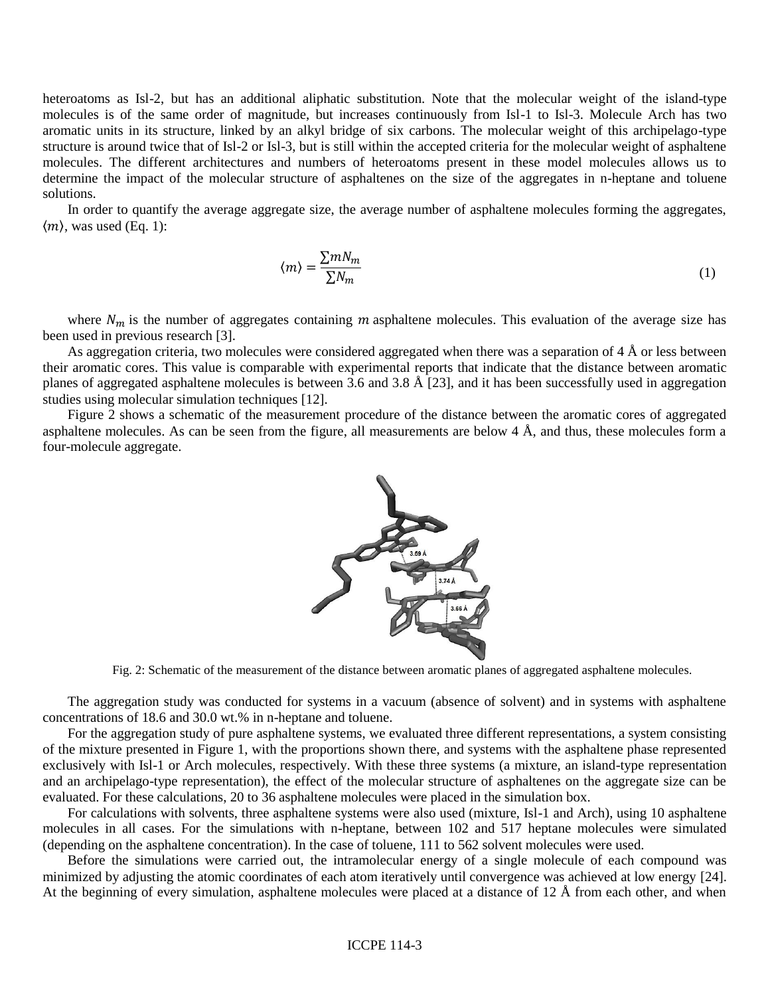heteroatoms as Isl-2, but has an additional aliphatic substitution. Note that the molecular weight of the island-type molecules is of the same order of magnitude, but increases continuously from Isl-1 to Isl-3. Molecule Arch has two aromatic units in its structure, linked by an alkyl bridge of six carbons. The molecular weight of this archipelago-type structure is around twice that of Isl-2 or Isl-3, but is still within the accepted criteria for the molecular weight of asphaltene molecules. The different architectures and numbers of heteroatoms present in these model molecules allows us to determine the impact of the molecular structure of asphaltenes on the size of the aggregates in n-heptane and toluene solutions.

In order to quantify the average aggregate size, the average number of asphaltene molecules forming the aggregates,  $\langle m \rangle$ , was used (Eq. 1):

$$
\langle m \rangle = \frac{\sum m N_m}{\sum N_m} \tag{1}
$$

where  $N_m$  is the number of aggregates containing *m* asphaltene molecules. This evaluation of the average size has been used in previous research [3].

As aggregation criteria, two molecules were considered aggregated when there was a separation of  $4 \text{ Å}$  or less between their aromatic cores. This value is comparable with experimental reports that indicate that the distance between aromatic planes of aggregated asphaltene molecules is between 3.6 and 3.8 Å [23], and it has been successfully used in aggregation studies using molecular simulation techniques [12].

Figure 2 shows a schematic of the measurement procedure of the distance between the aromatic cores of aggregated asphaltene molecules. As can be seen from the figure, all measurements are below  $4 \text{ Å}$ , and thus, these molecules form a four-molecule aggregate.



Fig. 2: Schematic of the measurement of the distance between aromatic planes of aggregated asphaltene molecules.

The aggregation study was conducted for systems in a vacuum (absence of solvent) and in systems with asphaltene concentrations of 18.6 and 30.0 wt.% in n-heptane and toluene.

For the aggregation study of pure asphaltene systems, we evaluated three different representations, a system consisting of the mixture presented in Figure 1, with the proportions shown there, and systems with the asphaltene phase represented exclusively with Isl-1 or Arch molecules, respectively. With these three systems (a mixture, an island-type representation and an archipelago-type representation), the effect of the molecular structure of asphaltenes on the aggregate size can be evaluated. For these calculations, 20 to 36 asphaltene molecules were placed in the simulation box.

For calculations with solvents, three asphaltene systems were also used (mixture, Isl-1 and Arch), using 10 asphaltene molecules in all cases. For the simulations with n-heptane, between 102 and 517 heptane molecules were simulated (depending on the asphaltene concentration). In the case of toluene, 111 to 562 solvent molecules were used.

Before the simulations were carried out, the intramolecular energy of a single molecule of each compound was minimized by adjusting the atomic coordinates of each atom iteratively until convergence was achieved at low energy [24]. At the beginning of every simulation, asphaltene molecules were placed at a distance of 12 Å from each other, and when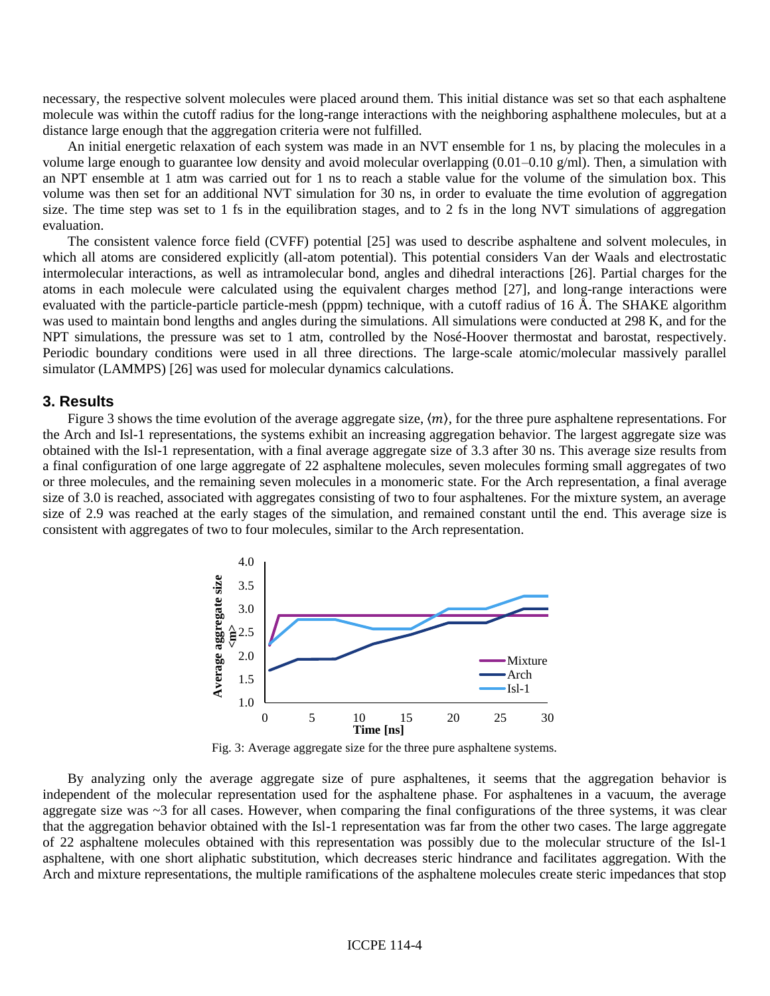necessary, the respective solvent molecules were placed around them. This initial distance was set so that each asphaltene molecule was within the cutoff radius for the long-range interactions with the neighboring asphalthene molecules, but at a distance large enough that the aggregation criteria were not fulfilled.

An initial energetic relaxation of each system was made in an NVT ensemble for 1 ns, by placing the molecules in a volume large enough to guarantee low density and avoid molecular overlapping  $(0.01-0.10 \text{ g/ml})$ . Then, a simulation with an NPT ensemble at 1 atm was carried out for 1 ns to reach a stable value for the volume of the simulation box. This volume was then set for an additional NVT simulation for 30 ns, in order to evaluate the time evolution of aggregation size. The time step was set to 1 fs in the equilibration stages, and to 2 fs in the long NVT simulations of aggregation evaluation.

The consistent valence force field (CVFF) potential [25] was used to describe asphaltene and solvent molecules, in which all atoms are considered explicitly (all-atom potential). This potential considers Van der Waals and electrostatic intermolecular interactions, as well as intramolecular bond, angles and dihedral interactions [26]. Partial charges for the atoms in each molecule were calculated using the equivalent charges method [27], and long-range interactions were evaluated with the particle-particle particle-mesh (pppm) technique, with a cutoff radius of 16 Å. The SHAKE algorithm was used to maintain bond lengths and angles during the simulations. All simulations were conducted at 298 K, and for the NPT simulations, the pressure was set to 1 atm, controlled by the Nosé-Hoover thermostat and barostat, respectively. Periodic boundary conditions were used in all three directions. The large-scale atomic/molecular massively parallel simulator (LAMMPS) [26] was used for molecular dynamics calculations.

#### **3. Results**

Figure 3 shows the time evolution of the average aggregate size,  $\langle m \rangle$ , for the three pure asphaltene representations. For the Arch and Isl-1 representations, the systems exhibit an increasing aggregation behavior. The largest aggregate size was obtained with the Isl-1 representation, with a final average aggregate size of 3.3 after 30 ns. This average size results from a final configuration of one large aggregate of 22 asphaltene molecules, seven molecules forming small aggregates of two or three molecules, and the remaining seven molecules in a monomeric state. For the Arch representation, a final average size of 3.0 is reached, associated with aggregates consisting of two to four asphaltenes. For the mixture system, an average size of 2.9 was reached at the early stages of the simulation, and remained constant until the end. This average size is consistent with aggregates of two to four molecules, similar to the Arch representation.



Fig. 3: Average aggregate size for the three pure asphaltene systems.

By analyzing only the average aggregate size of pure asphaltenes, it seems that the aggregation behavior is independent of the molecular representation used for the asphaltene phase. For asphaltenes in a vacuum, the average aggregate size was ~3 for all cases. However, when comparing the final configurations of the three systems, it was clear that the aggregation behavior obtained with the Isl-1 representation was far from the other two cases. The large aggregate of 22 asphaltene molecules obtained with this representation was possibly due to the molecular structure of the Isl-1 asphaltene, with one short aliphatic substitution, which decreases steric hindrance and facilitates aggregation. With the Arch and mixture representations, the multiple ramifications of the asphaltene molecules create steric impedances that stop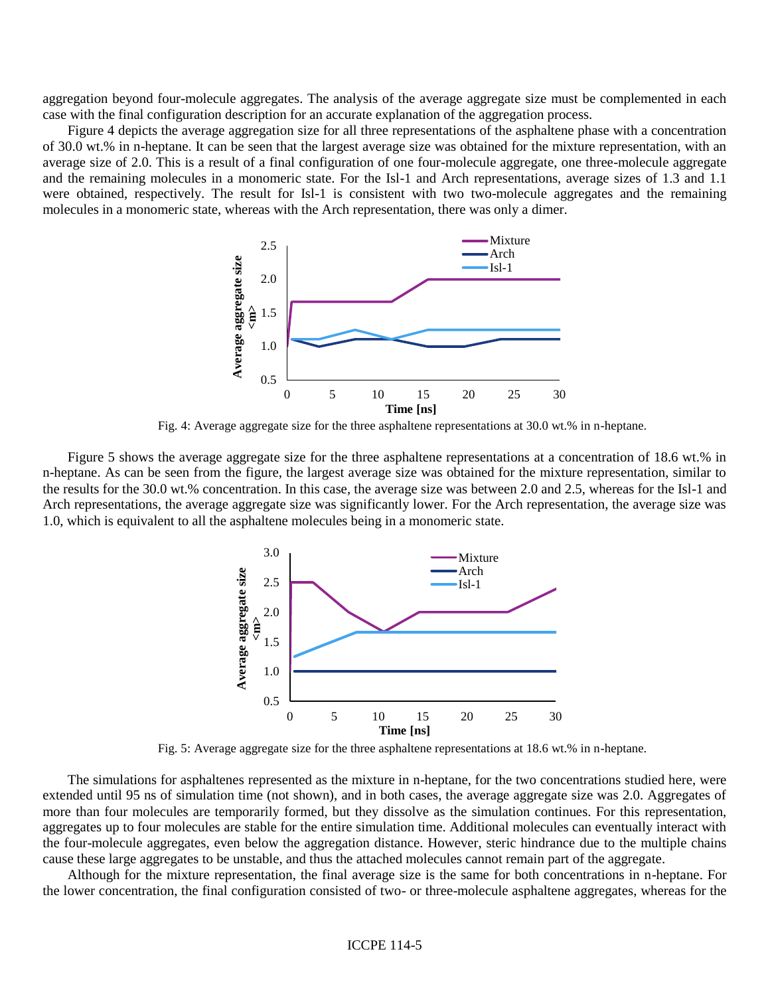aggregation beyond four-molecule aggregates. The analysis of the average aggregate size must be complemented in each case with the final configuration description for an accurate explanation of the aggregation process.

Figure 4 depicts the average aggregation size for all three representations of the asphaltene phase with a concentration of 30.0 wt.% in n-heptane. It can be seen that the largest average size was obtained for the mixture representation, with an average size of 2.0. This is a result of a final configuration of one four-molecule aggregate, one three-molecule aggregate and the remaining molecules in a monomeric state. For the Isl-1 and Arch representations, average sizes of 1.3 and 1.1 were obtained, respectively. The result for Isl-1 is consistent with two two-molecule aggregates and the remaining molecules in a monomeric state, whereas with the Arch representation, there was only a dimer.



Fig. 4: Average aggregate size for the three asphaltene representations at 30.0 wt.% in n-heptane.

Figure 5 shows the average aggregate size for the three asphaltene representations at a concentration of 18.6 wt.% in n-heptane. As can be seen from the figure, the largest average size was obtained for the mixture representation, similar to the results for the 30.0 wt.% concentration. In this case, the average size was between 2.0 and 2.5, whereas for the Isl-1 and Arch representations, the average aggregate size was significantly lower. For the Arch representation, the average size was 1.0, which is equivalent to all the asphaltene molecules being in a monomeric state.



Fig. 5: Average aggregate size for the three asphaltene representations at 18.6 wt.% in n-heptane.

The simulations for asphaltenes represented as the mixture in n-heptane, for the two concentrations studied here, were extended until 95 ns of simulation time (not shown), and in both cases, the average aggregate size was 2.0. Aggregates of more than four molecules are temporarily formed, but they dissolve as the simulation continues. For this representation, aggregates up to four molecules are stable for the entire simulation time. Additional molecules can eventually interact with the four-molecule aggregates, even below the aggregation distance. However, steric hindrance due to the multiple chains cause these large aggregates to be unstable, and thus the attached molecules cannot remain part of the aggregate.

Although for the mixture representation, the final average size is the same for both concentrations in n-heptane. For the lower concentration, the final configuration consisted of two- or three-molecule asphaltene aggregates, whereas for the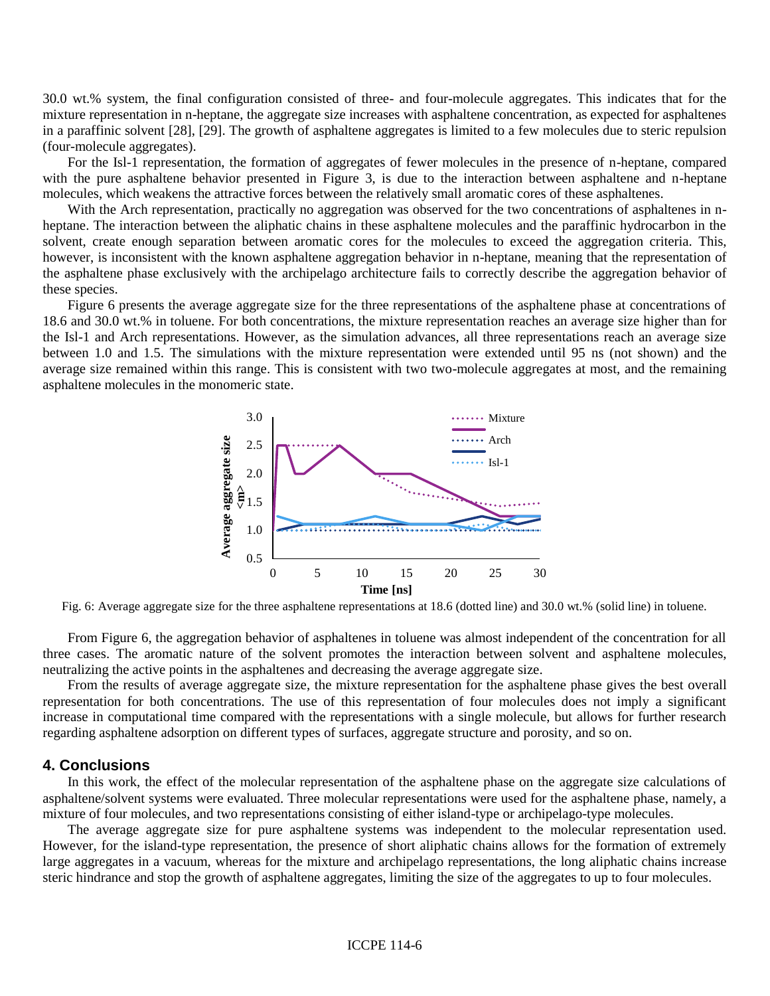30.0 wt.% system, the final configuration consisted of three- and four-molecule aggregates. This indicates that for the mixture representation in n-heptane, the aggregate size increases with asphaltene concentration, as expected for asphaltenes in a paraffinic solvent [28], [29]. The growth of asphaltene aggregates is limited to a few molecules due to steric repulsion (four-molecule aggregates).

For the Isl-1 representation, the formation of aggregates of fewer molecules in the presence of n-heptane, compared with the pure asphaltene behavior presented in Figure 3, is due to the interaction between asphaltene and n-heptane molecules, which weakens the attractive forces between the relatively small aromatic cores of these asphaltenes.

With the Arch representation, practically no aggregation was observed for the two concentrations of asphaltenes in nheptane. The interaction between the aliphatic chains in these asphaltene molecules and the paraffinic hydrocarbon in the solvent, create enough separation between aromatic cores for the molecules to exceed the aggregation criteria. This, however, is inconsistent with the known asphaltene aggregation behavior in n-heptane, meaning that the representation of the asphaltene phase exclusively with the archipelago architecture fails to correctly describe the aggregation behavior of these species.

Figure 6 presents the average aggregate size for the three representations of the asphaltene phase at concentrations of 18.6 and 30.0 wt.% in toluene. For both concentrations, the mixture representation reaches an average size higher than for the Isl-1 and Arch representations. However, as the simulation advances, all three representations reach an average size between 1.0 and 1.5. The simulations with the mixture representation were extended until 95 ns (not shown) and the average size remained within this range. This is consistent with two two-molecule aggregates at most, and the remaining asphaltene molecules in the monomeric state.



Fig. 6: Average aggregate size for the three asphaltene representations at 18.6 (dotted line) and 30.0 wt.% (solid line) in toluene.

From Figure 6, the aggregation behavior of asphaltenes in toluene was almost independent of the concentration for all three cases. The aromatic nature of the solvent promotes the interaction between solvent and asphaltene molecules, neutralizing the active points in the asphaltenes and decreasing the average aggregate size.

From the results of average aggregate size, the mixture representation for the asphaltene phase gives the best overall representation for both concentrations. The use of this representation of four molecules does not imply a significant increase in computational time compared with the representations with a single molecule, but allows for further research regarding asphaltene adsorption on different types of surfaces, aggregate structure and porosity, and so on.

#### **4. Conclusions**

In this work, the effect of the molecular representation of the asphaltene phase on the aggregate size calculations of asphaltene/solvent systems were evaluated. Three molecular representations were used for the asphaltene phase, namely, a mixture of four molecules, and two representations consisting of either island-type or archipelago-type molecules.

The average aggregate size for pure asphaltene systems was independent to the molecular representation used. However, for the island-type representation, the presence of short aliphatic chains allows for the formation of extremely large aggregates in a vacuum, whereas for the mixture and archipelago representations, the long aliphatic chains increase steric hindrance and stop the growth of asphaltene aggregates, limiting the size of the aggregates to up to four molecules.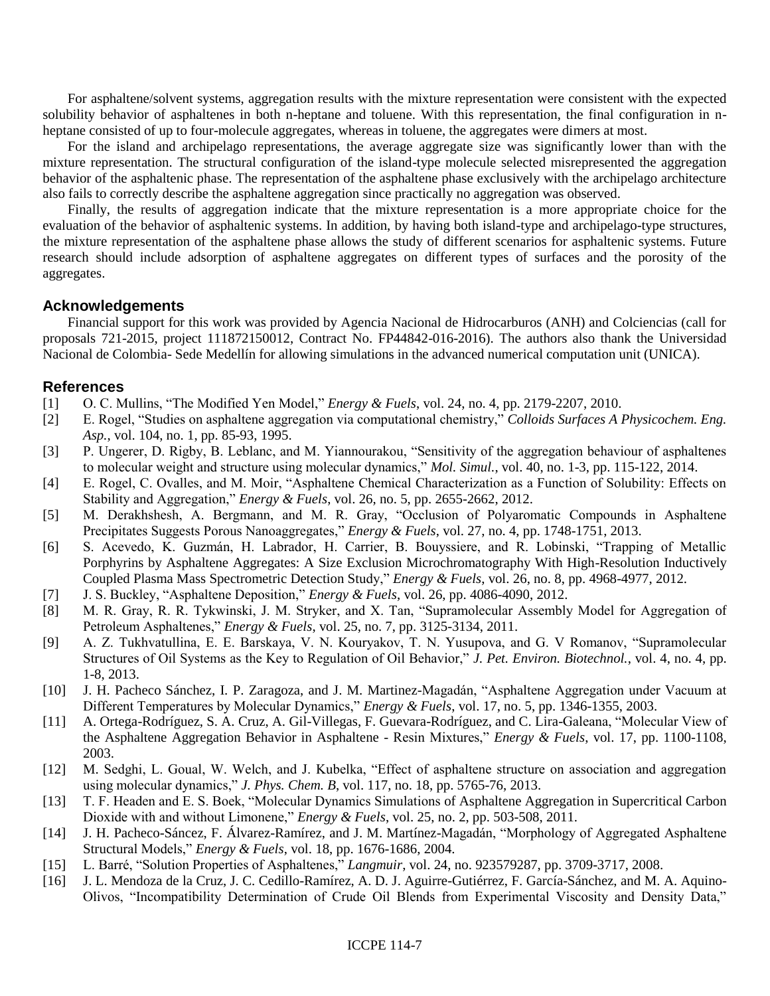For asphaltene/solvent systems, aggregation results with the mixture representation were consistent with the expected solubility behavior of asphaltenes in both n-heptane and toluene. With this representation, the final configuration in nheptane consisted of up to four-molecule aggregates, whereas in toluene, the aggregates were dimers at most.

For the island and archipelago representations, the average aggregate size was significantly lower than with the mixture representation. The structural configuration of the island-type molecule selected misrepresented the aggregation behavior of the asphaltenic phase. The representation of the asphaltene phase exclusively with the archipelago architecture also fails to correctly describe the asphaltene aggregation since practically no aggregation was observed.

Finally, the results of aggregation indicate that the mixture representation is a more appropriate choice for the evaluation of the behavior of asphaltenic systems. In addition, by having both island-type and archipelago-type structures, the mixture representation of the asphaltene phase allows the study of different scenarios for asphaltenic systems. Future research should include adsorption of asphaltene aggregates on different types of surfaces and the porosity of the aggregates.

## **Acknowledgements**

Financial support for this work was provided by Agencia Nacional de Hidrocarburos (ANH) and Colciencias (call for proposals 721-2015, project 111872150012, Contract No. FP44842-016-2016). The authors also thank the Universidad Nacional de Colombia- Sede Medellín for allowing simulations in the advanced numerical computation unit (UNICA).

## **References**

- [1] O. C. Mullins, "The Modified Yen Model," *Energy & Fuels*, vol. 24, no. 4, pp. 2179-2207, 2010.
- [2] E. Rogel, "Studies on asphaltene aggregation via computational chemistry," *Colloids Surfaces A Physicochem. Eng. Asp.*, vol. 104, no. 1, pp. 85-93, 1995.
- [3] P. Ungerer, D. Rigby, B. Leblanc, and M. Yiannourakou, "Sensitivity of the aggregation behaviour of asphaltenes to molecular weight and structure using molecular dynamics," *Mol. Simul.*, vol. 40, no. 1-3, pp. 115-122, 2014.
- [4] E. Rogel, C. Ovalles, and M. Moir, "Asphaltene Chemical Characterization as a Function of Solubility: Effects on Stability and Aggregation," *Energy & Fuels*, vol. 26, no. 5, pp. 2655-2662, 2012.
- [5] M. Derakhshesh, A. Bergmann, and M. R. Gray, "Occlusion of Polyaromatic Compounds in Asphaltene Precipitates Suggests Porous Nanoaggregates," *Energy & Fuels*, vol. 27, no. 4, pp. 1748-1751, 2013.
- [6] S. Acevedo, K. Guzmán, H. Labrador, H. Carrier, B. Bouyssiere, and R. Lobinski, "Trapping of Metallic Porphyrins by Asphaltene Aggregates: A Size Exclusion Microchromatography With High-Resolution Inductively Coupled Plasma Mass Spectrometric Detection Study," *Energy & Fuels*, vol. 26, no. 8, pp. 4968-4977, 2012.
- [7] J. S. Buckley, "Asphaltene Deposition," *Energy & Fuels*, vol. 26, pp. 4086-4090, 2012.
- [8] M. R. Gray, R. R. Tykwinski, J. M. Stryker, and X. Tan, "Supramolecular Assembly Model for Aggregation of Petroleum Asphaltenes," *Energy & Fuels*, vol. 25, no. 7, pp. 3125-3134, 2011.
- [9] A. Z. Tukhvatullina, E. E. Barskaya, V. N. Kouryakov, T. N. Yusupova, and G. V Romanov, "Supramolecular Structures of Oil Systems as the Key to Regulation of Oil Behavior," *J. Pet. Environ. Biotechnol.*, vol. 4, no. 4, pp. 1-8, 2013.
- [10] J. H. Pacheco Sánchez, I. P. Zaragoza, and J. M. Martinez-Magadán, "Asphaltene Aggregation under Vacuum at Different Temperatures by Molecular Dynamics," *Energy & Fuels*, vol. 17, no. 5, pp. 1346-1355, 2003.
- [11] A. Ortega-Rodríguez, S. A. Cruz, A. Gil-Villegas, F. Guevara-Rodríguez, and C. Lira-Galeana, "Molecular View of the Asphaltene Aggregation Behavior in Asphaltene - Resin Mixtures," *Energy & Fuels*, vol. 17, pp. 1100-1108, 2003.
- [12] M. Sedghi, L. Goual, W. Welch, and J. Kubelka, "Effect of asphaltene structure on association and aggregation using molecular dynamics," *J. Phys. Chem. B*, vol. 117, no. 18, pp. 5765-76, 2013.
- [13] T. F. Headen and E. S. Boek, "Molecular Dynamics Simulations of Asphaltene Aggregation in Supercritical Carbon Dioxide with and without Limonene," *Energy & Fuels*, vol. 25, no. 2, pp. 503-508, 2011.
- [14] J. H. Pacheco-Sáncez, F. Álvarez-Ramírez, and J. M. Martínez-Magadán, "Morphology of Aggregated Asphaltene Structural Models," *Energy & Fuels*, vol. 18, pp. 1676-1686, 2004.
- [15] L. Barré, "Solution Properties of Asphaltenes," *Langmuir*, vol. 24, no. 923579287, pp. 3709-3717, 2008.
- [16] J. L. Mendoza de la Cruz, J. C. Cedillo-Ramírez, A. D. J. Aguirre-Gutiérrez, F. García-Sánchez, and M. A. Aquino-Olivos, "Incompatibility Determination of Crude Oil Blends from Experimental Viscosity and Density Data,"